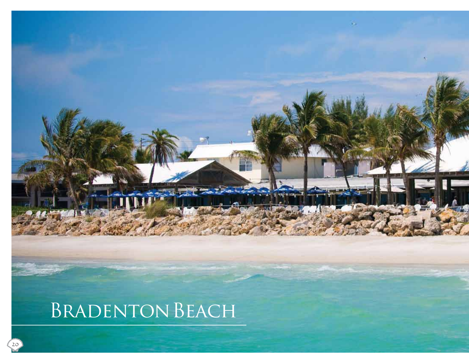# Bradenton Beach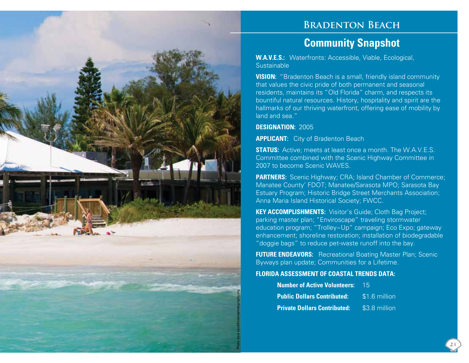

## **Bradenton Beach**

# **Community Snapshot**

**W.A.V.E.S.:** Waterfronts: Accessible, Viable, Ecological, **Sustainable** 

**VISION:** "Bradenton Beach is a small, friendly island community that values the civic pride of both permanent and seasonal residents, maintains its "Old Florida" charm, and respects its bountiful natural resources. History, hospitality and spirit are the hallmarks of our thriving waterfront, offering ease of mobility by land and sea."

### **DESIGNATION:** 2005

**APPLICANT:** City of Bradenton Beach

**STATUS:** Active; meets at least once a month. The W.A.V.E.S. Committee combined with the Scenic Highway Committee in 2007 to become Scenic WAVES.

**PARTNERS:** Scenic Highway; CRA; Island Chamber of Commerce; Manatee County' FDOT; Manatee/Sarasota MPO; Sarasota Bay Estuary Program; Historic Bridge Street Merchants Association; Anna Maria Island Historical Society; FWCC.

**KEY ACCOMPLISHMENTS:** Visitor's Guide; Cloth Bag Project; parking master plan; "Enviroscape" traveling stormwater education program; "Trolley~Up" campaign; Eco Expo; gateway enhancement; shoreline restoration; installation of biodegradable "doggie bags" to reduce pet-waste runoff into the bay.

**FUTURE ENDEAVORS:** Recreational Boating Master Plan; Scenic Byways plan update; Communities for a Lifetime.

### **FLORIDA ASSESSMENT OF COASTAL TRENDS DATA:**

| <b>Number of Active Volunteers:</b> | -15           |
|-------------------------------------|---------------|
| <b>Public Dollars Contributed:</b>  | \$1.6 million |
| <b>Private Dollars Contributed:</b> | \$3.8 million |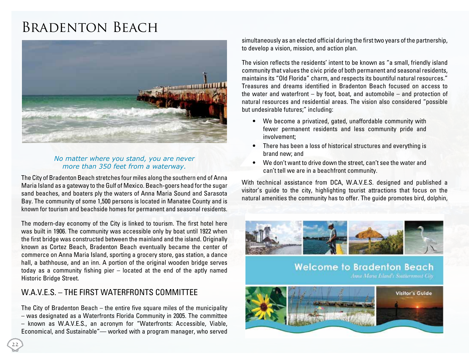# Bradenton Beach



### *No matter where you stand, you are never more than 350 feet from a waterway.*

The City of Bradenton Beach stretches four miles along the southern end of Anna Maria Island as a gateway to the Gulf of Mexico. Beach-goers head for the sugar sand beaches, and boaters ply the waters of Anna Maria Sound and Sarasota Bay. The community of some 1,500 persons is located in Manatee County and is known for tourism and beachside homes for permanent and seasonal residents.

The modern-day economy of the City is linked to tourism. The first hotel here was built in 1906. The community was accessible only by boat until 1922 when the first bridge was constructed between the mainland and the island. Originally known as Cortez Beach, Bradenton Beach eventually became the center of commerce on Anna Maria Island, sporting a grocery store, gas station, a dance hall, a bathhouse, and an inn. A portion of the original wooden bridge serves today as a community fishing pier – located at the end of the aptly named Historic Bridge Street.

### W.A.V.F.S. – THE FIRST WATERFRONTS COMMITTEE

The City of Bradenton Beach – the entire five square miles of the municipality – was designated as a Waterfronts Florida Community in 2005. The committee – known as W.A.V.E.S., an acronym for "Waterfronts: Accessible, Viable, Economical, and Sustainable"— worked with a program manager, who served

simultaneously as an elected official during the first two years of the partnership, to develop a vision, mission, and action plan.

The vision reflects the residents' intent to be known as "a small, friendly island community that values the civic pride of both permanent and seasonal residents, maintains its "Old Florida" charm, and respects its bountiful natural resources." Treasures and dreams identified in Bradenton Beach focused on access to the water and waterfront – by foot, boat, and automobile – and protection of natural resources and residential areas. The vision also considered "possible but undesirable futures;" including:

- We become a privatized, gated, unaffordable community with fewer permanent residents and less community pride and involvement;
- There has been a loss of historical structures and everything is brand new; and
- We don't want to drive down the street, can't see the water and can't tell we are in a beachfront community.

With technical assistance from DCA, W.A.V.E.S. designed and published a visitor's guide to the city, highlighting tourist attractions that focus on the natural amenities the community has to offer. The guide promotes bird, dolphin,



**Welcome to Bradenton Beach**